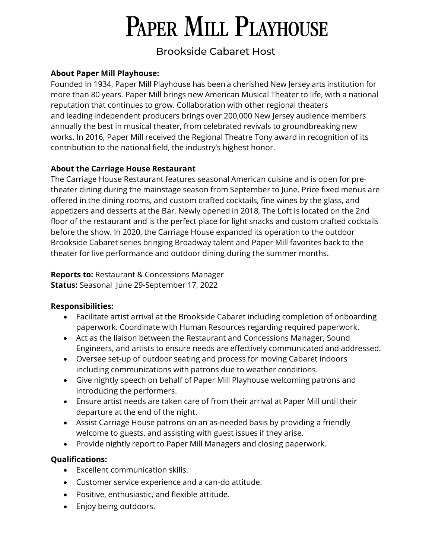# **PAPER MILL PLAYHOUSE**

# Brookside Cabaret Host

#### **About Paper Mill Playhouse:**

Founded in 1934, Paper Mill Playhouse has been a cherished New Jersey arts institution for more than 80 years. Paper Mill brings new American Musical Theater to life, with a national reputation that continues to grow. Collaboration with other regional theaters and leading independent producers brings over 200,000 New Jersey audience members annually the best in musical theater, from celebrated revivals to groundbreaking new works. In 2016, Paper Mill received the Regional Theatre Tony award in recognition of its contribution to the national field, the industry's highest honor.

#### **About the Carriage House Restaurant**

The Carriage House Restaurant features seasonal American cuisine and is open for pretheater dining during the mainstage season from September to June. Price fixed menus are offered in the dining rooms, and custom crafted cocktails, fine wines by the glass, and appetizers and desserts at the Bar. Newly opened in 2018, The Loft is located on the 2nd floor of the restaurant and is the perfect place for light snacks and custom crafted cocktails before the show. In 2020, the Carriage House expanded its operation to the outdoor Brookside Cabaret series bringing Broadway talent and Paper Mill favorites back to the theater for live performance and outdoor dining during the summer months.

**Reports to:** Restaurant & Concessions Manager **Status:** Seasonal June 29-September 17, 2022

#### **Responsibilities:**

- Facilitate artist arrival at the Brookside Cabaret including completion of onboarding paperwork. Coordinate with Human Resources regarding required paperwork.
- Act as the liaison between the Restaurant and Concessions Manager, Sound Engineers, and artists to ensure needs are effectively communicated and addressed.
- Oversee set-up of outdoor seating and process for moving Cabaret indoors including communications with patrons due to weather conditions.
- Give nightly speech on behalf of Paper Mill Playhouse welcoming patrons and introducing the performers.
- Ensure artist needs are taken care of from their arrival at Paper Mill until their departure at the end of the night.
- Assist Carriage House patrons on an as-needed basis by providing a friendly welcome to guests, and assisting with guest issues if they arise.
- Provide nightly report to Paper Mill Managers and closing paperwork.

### **Qualifications:**

- Excellent communication skills.
- Customer service experience and a can-do attitude.
- Positive, enthusiastic, and flexible attitude.
- Enjoy being outdoors.